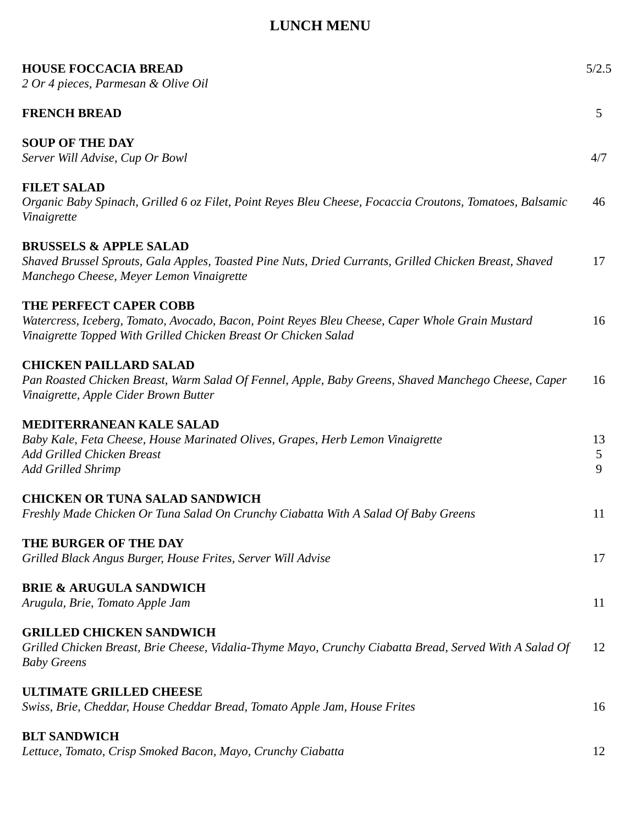## **LUNCH MENU**

| <b>HOUSE FOCCACIA BREAD</b><br>2 Or 4 pieces, Parmesan & Olive Oil                                                                                                                           |              |  |  |  |
|----------------------------------------------------------------------------------------------------------------------------------------------------------------------------------------------|--------------|--|--|--|
| <b>FRENCH BREAD</b>                                                                                                                                                                          | 5            |  |  |  |
| <b>SOUP OF THE DAY</b><br>Server Will Advise, Cup Or Bowl                                                                                                                                    | 4/7          |  |  |  |
| <b>FILET SALAD</b><br>Organic Baby Spinach, Grilled 6 oz Filet, Point Reyes Bleu Cheese, Focaccia Croutons, Tomatoes, Balsamic<br>Vinaigrette                                                |              |  |  |  |
| <b>BRUSSELS &amp; APPLE SALAD</b><br>Shaved Brussel Sprouts, Gala Apples, Toasted Pine Nuts, Dried Currants, Grilled Chicken Breast, Shaved<br>Manchego Cheese, Meyer Lemon Vinaigrette      | 17           |  |  |  |
| THE PERFECT CAPER COBB<br>Watercress, Iceberg, Tomato, Avocado, Bacon, Point Reyes Bleu Cheese, Caper Whole Grain Mustard<br>Vinaigrette Topped With Grilled Chicken Breast Or Chicken Salad | 16           |  |  |  |
| <b>CHICKEN PAILLARD SALAD</b><br>Pan Roasted Chicken Breast, Warm Salad Of Fennel, Apple, Baby Greens, Shaved Manchego Cheese, Caper<br>Vinaigrette, Apple Cider Brown Butter                |              |  |  |  |
| <b>MEDITERRANEAN KALE SALAD</b><br>Baby Kale, Feta Cheese, House Marinated Olives, Grapes, Herb Lemon Vinaigrette<br>Add Grilled Chicken Breast<br><b>Add Grilled Shrimp</b>                 | 13<br>5<br>9 |  |  |  |
| <b>CHICKEN OR TUNA SALAD SANDWICH</b><br>Freshly Made Chicken Or Tuna Salad On Crunchy Ciabatta With A Salad Of Baby Greens                                                                  | 11           |  |  |  |
| THE BURGER OF THE DAY<br>Grilled Black Angus Burger, House Frites, Server Will Advise                                                                                                        | 17           |  |  |  |
| <b>BRIE &amp; ARUGULA SANDWICH</b><br>Arugula, Brie, Tomato Apple Jam                                                                                                                        | 11           |  |  |  |
| <b>GRILLED CHICKEN SANDWICH</b><br>Grilled Chicken Breast, Brie Cheese, Vidalia-Thyme Mayo, Crunchy Ciabatta Bread, Served With A Salad Of<br><b>Baby Greens</b>                             | 12           |  |  |  |
| <b>ULTIMATE GRILLED CHEESE</b><br>Swiss, Brie, Cheddar, House Cheddar Bread, Tomato Apple Jam, House Frites                                                                                  | 16           |  |  |  |
| <b>BLT SANDWICH</b><br>Lettuce, Tomato, Crisp Smoked Bacon, Mayo, Crunchy Ciabatta                                                                                                           | 12           |  |  |  |